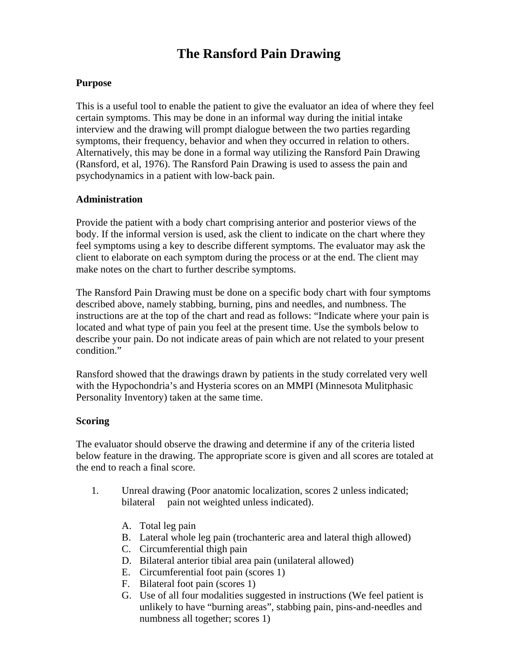# **The Ransford Pain Drawing**

#### **Purpose**

This is a useful tool to enable the patient to give the evaluator an idea of where they feel certain symptoms. This may be done in an informal way during the initial intake interview and the drawing will prompt dialogue between the two parties regarding symptoms, their frequency, behavior and when they occurred in relation to others. Alternatively, this may be done in a formal way utilizing the Ransford Pain Drawing (Ransford, et al, 1976). The Ransford Pain Drawing is used to assess the pain and psychodynamics in a patient with low-back pain.

#### **Administration**

Provide the patient with a body chart comprising anterior and posterior views of the body. If the informal version is used, ask the client to indicate on the chart where they feel symptoms using a key to describe different symptoms. The evaluator may ask the client to elaborate on each symptom during the process or at the end. The client may make notes on the chart to further describe symptoms.

The Ransford Pain Drawing must be done on a specific body chart with four symptoms described above, namely stabbing, burning, pins and needles, and numbness. The instructions are at the top of the chart and read as follows: "Indicate where your pain is located and what type of pain you feel at the present time. Use the symbols below to describe your pain. Do not indicate areas of pain which are not related to your present condition."

Ransford showed that the drawings drawn by patients in the study correlated very well with the Hypochondria's and Hysteria scores on an MMPI (Minnesota Mulitphasic Personality Inventory) taken at the same time.

### **Scoring**

The evaluator should observe the drawing and determine if any of the criteria listed below feature in the drawing. The appropriate score is given and all scores are totaled at the end to reach a final score.

- 1. Unreal drawing (Poor anatomic localization, scores 2 unless indicated; bilateral pain not weighted unless indicated).
	- A. Total leg pain
	- B. Lateral whole leg pain (trochanteric area and lateral thigh allowed)
	- C. Circumferential thigh pain
	- D. Bilateral anterior tibial area pain (unilateral allowed)
	- E. Circumferential foot pain (scores 1)
	- F. Bilateral foot pain (scores 1)
	- G. Use of all four modalities suggested in instructions (We feel patient is unlikely to have "burning areas", stabbing pain, pins-and-needles and numbness all together; scores 1)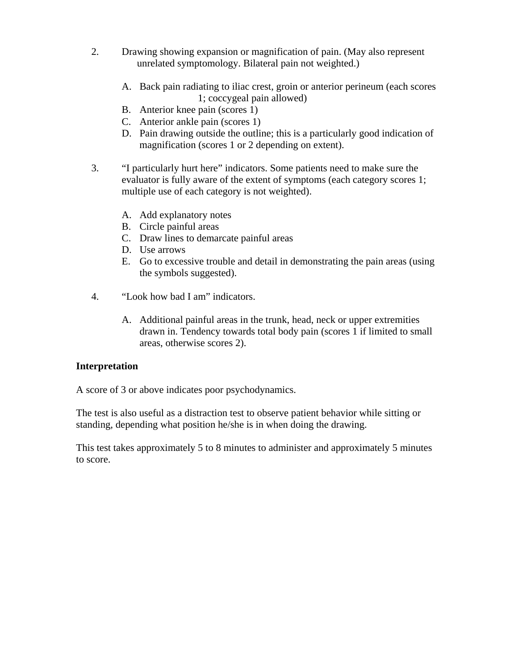- 2. Drawing showing expansion or magnification of pain. (May also represent unrelated symptomology. Bilateral pain not weighted.)
	- A. Back pain radiating to iliac crest, groin or anterior perineum (each scores 1; coccygeal pain allowed)
	- B. Anterior knee pain (scores 1)
	- C. Anterior ankle pain (scores 1)
	- D. Pain drawing outside the outline; this is a particularly good indication of magnification (scores 1 or 2 depending on extent).
- 3. "I particularly hurt here" indicators. Some patients need to make sure the evaluator is fully aware of the extent of symptoms (each category scores 1; multiple use of each category is not weighted).
	- A. Add explanatory notes
	- B. Circle painful areas
	- C. Draw lines to demarcate painful areas
	- D. Use arrows
	- E. Go to excessive trouble and detail in demonstrating the pain areas (using the symbols suggested).
- 4. "Look how bad I am" indicators.
	- A. Additional painful areas in the trunk, head, neck or upper extremities drawn in. Tendency towards total body pain (scores 1 if limited to small areas, otherwise scores 2).

### **Interpretation**

A score of 3 or above indicates poor psychodynamics.

The test is also useful as a distraction test to observe patient behavior while sitting or standing, depending what position he/she is in when doing the drawing.

This test takes approximately 5 to 8 minutes to administer and approximately 5 minutes to score.